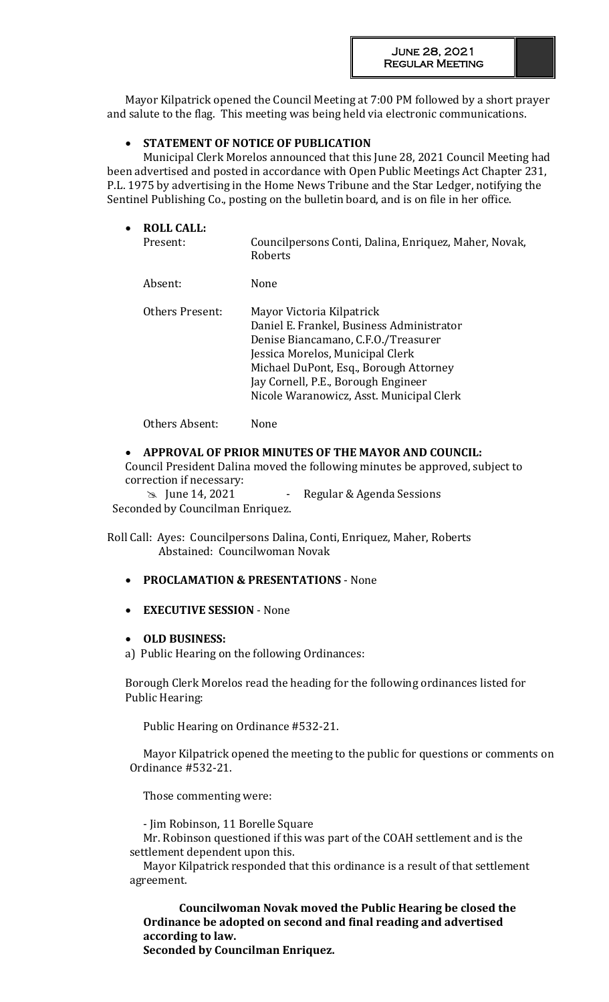Mayor Kilpatrick opened the Council Meeting at 7:00 PM followed by a short prayer and salute to the flag. This meeting was being held via electronic communications.

## **STATEMENT OF NOTICE OF PUBLICATION**

Municipal Clerk Morelos announced that this June 28, 2021 Council Meeting had been advertised and posted in accordance with Open Public Meetings Act Chapter 231, P.L. 1975 by advertising in the Home News Tribune and the Star Ledger, notifying the Sentinel Publishing Co., posting on the bulletin board, and is on file in her office.

| $\bullet$ | <b>ROLL CALL:</b><br>Present: | Councilpersons Conti, Dalina, Enriquez, Maher, Novak,<br>Roberts                                                                                                                                                                                                               |
|-----------|-------------------------------|--------------------------------------------------------------------------------------------------------------------------------------------------------------------------------------------------------------------------------------------------------------------------------|
|           | Absent:                       | <b>None</b>                                                                                                                                                                                                                                                                    |
|           | Others Present:               | Mayor Victoria Kilpatrick<br>Daniel E. Frankel, Business Administrator<br>Denise Biancamano, C.F.O./Treasurer<br>Jessica Morelos, Municipal Clerk<br>Michael DuPont, Esq., Borough Attorney<br>Jay Cornell, P.E., Borough Engineer<br>Nicole Waranowicz, Asst. Municipal Clerk |

Others Absent: None

## **APPROVAL OF PRIOR MINUTES OF THE MAYOR AND COUNCIL:**

Council President Dalina moved the following minutes be approved, subject to correction if necessary:

 $\approx$  June 14, 2021 - Regular & Agenda Sessions

Seconded by Councilman Enriquez.

Roll Call: Ayes: Councilpersons Dalina, Conti, Enriquez, Maher, Roberts Abstained: Councilwoman Novak

- **PROCLAMATION & PRESENTATIONS**  None
- **EXECUTIVE SESSION** None
- **OLD BUSINESS:**
- a) Public Hearing on the following Ordinances:

Borough Clerk Morelos read the heading for the following ordinances listed for Public Hearing:

Public Hearing on Ordinance #532-21.

Mayor Kilpatrick opened the meeting to the public for questions or comments on Ordinance #532-21.

Those commenting were:

- Jim Robinson, 11 Borelle Square

Mr. Robinson questioned if this was part of the COAH settlement and is the settlement dependent upon this.

Mayor Kilpatrick responded that this ordinance is a result of that settlement agreement.

**Councilwoman Novak moved the Public Hearing be closed the Ordinance be adopted on second and final reading and advertised according to law. Seconded by Councilman Enriquez.**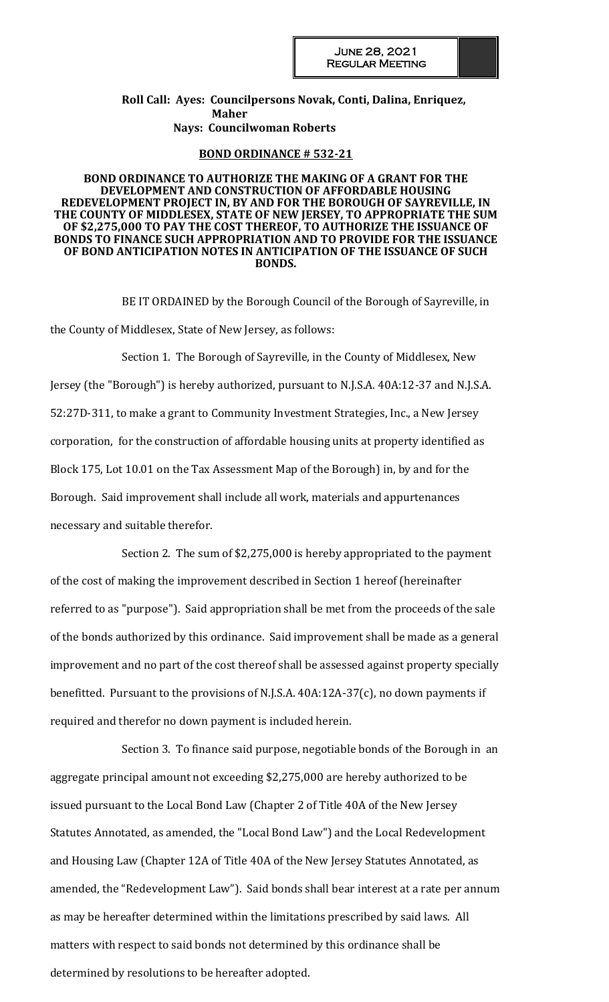**Roll Call: Ayes: Councilpersons Novak, Conti, Dalina, Enriquez, Maher Nays: Councilwoman Roberts**

#### **BOND ORDINANCE # 532-21**

#### **BOND ORDINANCE TO AUTHORIZE THE MAKING OF A GRANT FOR THE DEVELOPMENT AND CONSTRUCTION OF AFFORDABLE HOUSING REDEVELOPMENT PROJECT IN, BY AND FOR THE BOROUGH OF SAYREVILLE, IN THE COUNTY OF MIDDLESEX, STATE OF NEW JERSEY, TO APPROPRIATE THE SUM OF \$2,275,000 TO PAY THE COST THEREOF, TO AUTHORIZE THE ISSUANCE OF BONDS TO FINANCE SUCH APPROPRIATION AND TO PROVIDE FOR THE ISSUANCE OF BOND ANTICIPATION NOTES IN ANTICIPATION OF THE ISSUANCE OF SUCH BONDS.**

BE IT ORDAINED by the Borough Council of the Borough of Sayreville, in the County of Middlesex, State of New Jersey, as follows:

Section 1. The Borough of Sayreville, in the County of Middlesex, New Jersey (the "Borough") is hereby authorized, pursuant to N.J.S.A. 40A:12-37 and N.J.S.A. 52:27D-311, to make a grant to Community Investment Strategies, Inc., a New Jersey corporation, for the construction of affordable housing units at property identified as Block 175, Lot 10.01 on the Tax Assessment Map of the Borough) in, by and for the Borough. Said improvement shall include all work, materials and appurtenances necessary and suitable therefor.

Section 2. The sum of \$2,275,000 is hereby appropriated to the payment of the cost of making the improvement described in Section 1 hereof (hereinafter referred to as "purpose"). Said appropriation shall be met from the proceeds of the sale of the bonds authorized by this ordinance. Said improvement shall be made as a general improvement and no part of the cost thereof shall be assessed against property specially benefitted. Pursuant to the provisions of N.J.S.A. 40A:12A-37(c), no down payments if required and therefor no down payment is included herein.

Section 3. To finance said purpose, negotiable bonds of the Borough in an aggregate principal amount not exceeding \$2,275,000 are hereby authorized to be issued pursuant to the Local Bond Law (Chapter 2 of Title 40A of the New Jersey Statutes Annotated, as amended, the "Local Bond Law") and the Local Redevelopment and Housing Law (Chapter 12A of Title 40A of the New Jersey Statutes Annotated, as amended, the "Redevelopment Law"). Said bonds shall bear interest at a rate per annum as may be hereafter determined within the limitations prescribed by said laws. All matters with respect to said bonds not determined by this ordinance shall be determined by resolutions to be hereafter adopted.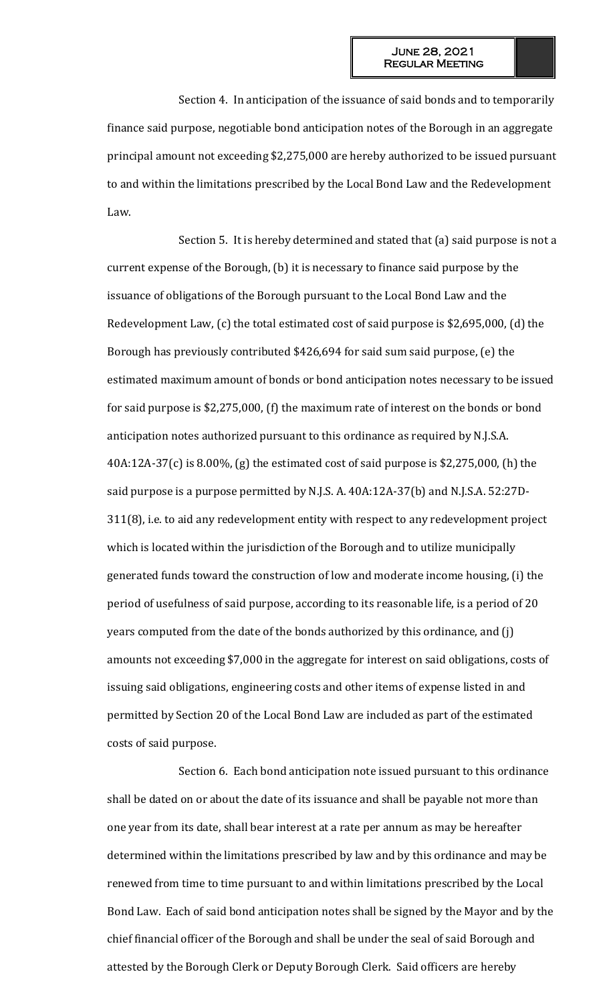Section 4. In anticipation of the issuance of said bonds and to temporarily finance said purpose, negotiable bond anticipation notes of the Borough in an aggregate principal amount not exceeding \$2,275,000 are hereby authorized to be issued pursuant to and within the limitations prescribed by the Local Bond Law and the Redevelopment Law.

Section 5. It is hereby determined and stated that (a) said purpose is not a current expense of the Borough, (b) it is necessary to finance said purpose by the issuance of obligations of the Borough pursuant to the Local Bond Law and the Redevelopment Law, (c) the total estimated cost of said purpose is \$2,695,000, (d) the Borough has previously contributed \$426,694 for said sum said purpose, (e) the estimated maximum amount of bonds or bond anticipation notes necessary to be issued for said purpose is \$2,275,000, (f) the maximum rate of interest on the bonds or bond anticipation notes authorized pursuant to this ordinance as required by N.J.S.A. 40A:12A-37(c) is 8.00%, (g) the estimated cost of said purpose is \$2,275,000, (h) the said purpose is a purpose permitted by N.J.S. A. 40A:12A-37(b) and N.J.S.A. 52:27D-311(8), i.e. to aid any redevelopment entity with respect to any redevelopment project which is located within the jurisdiction of the Borough and to utilize municipally generated funds toward the construction of low and moderate income housing, (i) the period of usefulness of said purpose, according to its reasonable life, is a period of 20 years computed from the date of the bonds authorized by this ordinance, and (j) amounts not exceeding \$7,000 in the aggregate for interest on said obligations, costs of issuing said obligations, engineering costs and other items of expense listed in and permitted by Section 20 of the Local Bond Law are included as part of the estimated costs of said purpose.

Section 6. Each bond anticipation note issued pursuant to this ordinance shall be dated on or about the date of its issuance and shall be payable not more than one year from its date, shall bear interest at a rate per annum as may be hereafter determined within the limitations prescribed by law and by this ordinance and may be renewed from time to time pursuant to and within limitations prescribed by the Local Bond Law. Each of said bond anticipation notes shall be signed by the Mayor and by the chief financial officer of the Borough and shall be under the seal of said Borough and attested by the Borough Clerk or Deputy Borough Clerk. Said officers are hereby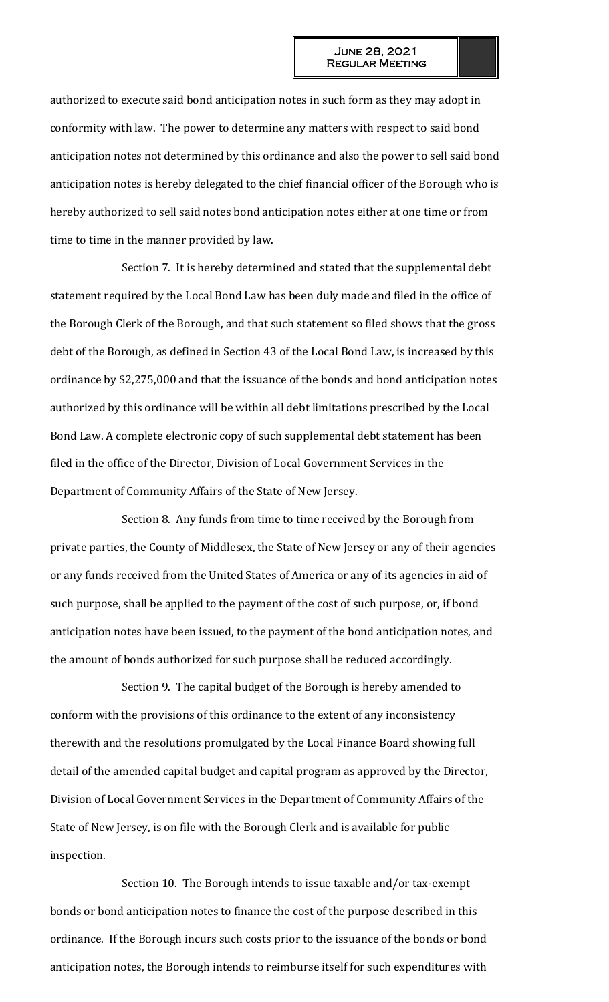authorized to execute said bond anticipation notes in such form as they may adopt in conformity with law. The power to determine any matters with respect to said bond anticipation notes not determined by this ordinance and also the power to sell said bond anticipation notes is hereby delegated to the chief financial officer of the Borough who is hereby authorized to sell said notes bond anticipation notes either at one time or from time to time in the manner provided by law.

Section 7. It is hereby determined and stated that the supplemental debt statement required by the Local Bond Law has been duly made and filed in the office of the Borough Clerk of the Borough, and that such statement so filed shows that the gross debt of the Borough, as defined in Section 43 of the Local Bond Law, is increased by this ordinance by \$2,275,000 and that the issuance of the bonds and bond anticipation notes authorized by this ordinance will be within all debt limitations prescribed by the Local Bond Law. A complete electronic copy of such supplemental debt statement has been filed in the office of the Director, Division of Local Government Services in the Department of Community Affairs of the State of New Jersey.

Section 8. Any funds from time to time received by the Borough from private parties, the County of Middlesex, the State of New Jersey or any of their agencies or any funds received from the United States of America or any of its agencies in aid of such purpose, shall be applied to the payment of the cost of such purpose, or, if bond anticipation notes have been issued, to the payment of the bond anticipation notes, and the amount of bonds authorized for such purpose shall be reduced accordingly.

Section 9. The capital budget of the Borough is hereby amended to conform with the provisions of this ordinance to the extent of any inconsistency therewith and the resolutions promulgated by the Local Finance Board showing full detail of the amended capital budget and capital program as approved by the Director, Division of Local Government Services in the Department of Community Affairs of the State of New Jersey, is on file with the Borough Clerk and is available for public inspection.

Section 10. The Borough intends to issue taxable and/or tax-exempt bonds or bond anticipation notes to finance the cost of the purpose described in this ordinance. If the Borough incurs such costs prior to the issuance of the bonds or bond anticipation notes, the Borough intends to reimburse itself for such expenditures with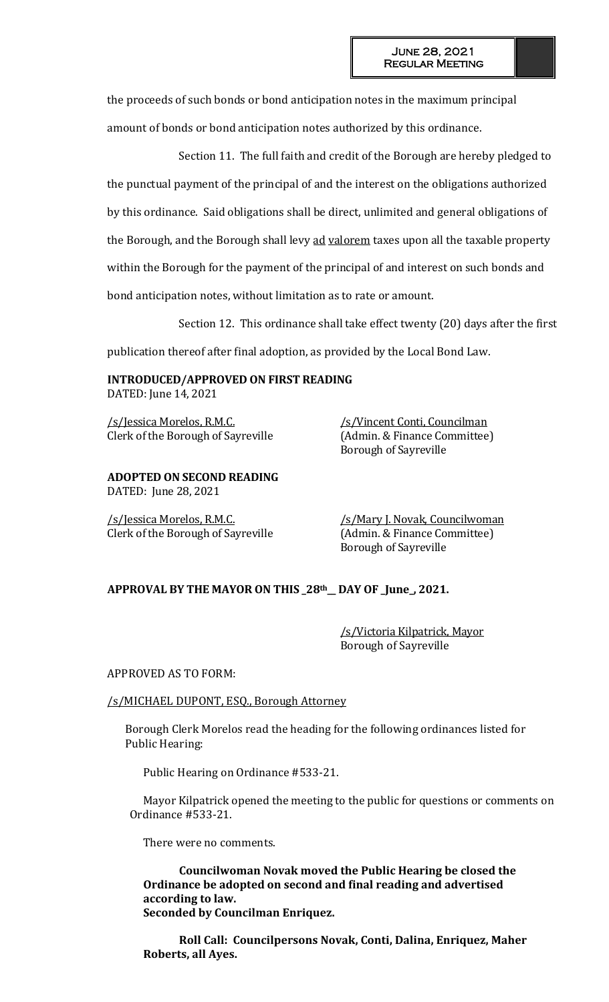the proceeds of such bonds or bond anticipation notes in the maximum principal amount of bonds or bond anticipation notes authorized by this ordinance.

Section 11. The full faith and credit of the Borough are hereby pledged to the punctual payment of the principal of and the interest on the obligations authorized by this ordinance. Said obligations shall be direct, unlimited and general obligations of the Borough, and the Borough shall levy ad valorem taxes upon all the taxable property within the Borough for the payment of the principal of and interest on such bonds and bond anticipation notes, without limitation as to rate or amount.

Section 12. This ordinance shall take effect twenty (20) days after the first

publication thereof after final adoption, as provided by the Local Bond Law.

**INTRODUCED/APPROVED ON FIRST READING** DATED: June 14, 2021

/s/Jessica Morelos, R.M.C. /s/Vincent Conti, Councilman Clerk of the Borough of Sayreville (Admin. & Finance Committee)

#### **ADOPTED ON SECOND READING** DATED: June 28, 2021

/s/Jessica Morelos, R.M.C. /s/Mary J. Novak, Councilwoman Clerk of the Borough of Sayreville (Admin. & Finance Committee)

Borough of Sayreville

Borough of Sayreville

# **APPROVAL BY THE MAYOR ON THIS \_28th\_\_ DAY OF \_June\_, 2021.**

/s/Victoria Kilpatrick, Mayor Borough of Sayreville

### APPROVED AS TO FORM:

### /s/MICHAEL DUPONT, ESQ., Borough Attorney

Borough Clerk Morelos read the heading for the following ordinances listed for Public Hearing:

Public Hearing on Ordinance #533-21.

Mayor Kilpatrick opened the meeting to the public for questions or comments on Ordinance #533-21.

There were no comments.

**Councilwoman Novak moved the Public Hearing be closed the Ordinance be adopted on second and final reading and advertised according to law. Seconded by Councilman Enriquez.** 

**Roll Call: Councilpersons Novak, Conti, Dalina, Enriquez, Maher Roberts, all Ayes.**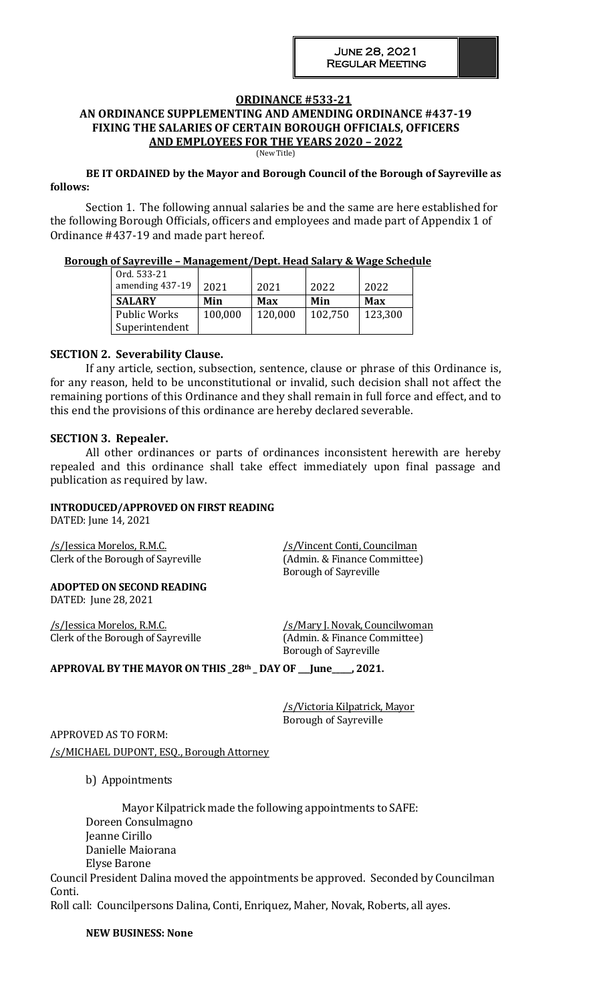## **ORDINANCE #533-21**

### **AN ORDINANCE SUPPLEMENTING AND AMENDING ORDINANCE #437-19 FIXING THE SALARIES OF CERTAIN BOROUGH OFFICIALS, OFFICERS AND EMPLOYEES FOR THE YEARS 2020 – 2022**

(New Title)

#### **BE IT ORDAINED by the Mayor and Borough Council of the Borough of Sayreville as follows:**

Section 1. The following annual salaries be and the same are here established for the following Borough Officials, officers and employees and made part of Appendix 1 of Ordinance #437-19 and made part hereof.

#### **Borough of Sayreville – Management/Dept. Head Salary & Wage Schedule**

| Ord. 533-21     |         |         |         |         |
|-----------------|---------|---------|---------|---------|
| amending 437-19 | 2021    | 2021    | 2022    | 2022    |
| <b>SALARY</b>   | Min     | Max     | Min     | Max     |
| Public Works    | 100,000 | 120,000 | 102,750 | 123,300 |
| Superintendent  |         |         |         |         |

### **SECTION 2. Severability Clause.**

If any article, section, subsection, sentence, clause or phrase of this Ordinance is, for any reason, held to be unconstitutional or invalid, such decision shall not affect the remaining portions of this Ordinance and they shall remain in full force and effect, and to this end the provisions of this ordinance are hereby declared severable.

### **SECTION 3. Repealer.**

All other ordinances or parts of ordinances inconsistent herewith are hereby repealed and this ordinance shall take effect immediately upon final passage and publication as required by law.

## **INTRODUCED/APPROVED ON FIRST READING**

DATED: June 14, 2021

/s/Jessica Morelos, R.M.C. /s/Vincent Conti, Councilman Clerk of the Borough of Sayreville (Admin. & Finance Committee)

Borough of Sayreville

**ADOPTED ON SECOND READING** DATED: June 28, 2021

/s/Jessica Morelos, R.M.C. /s/Mary J. Novak, Councilwoman Clerk of the Borough of Sayreville (Admin. & Finance Committee)

Borough of Sayreville

**APPROVAL BY THE MAYOR ON THIS \_28th \_ DAY OF \_\_\_June\_\_\_\_\_, 2021.**

/s/Victoria Kilpatrick, Mayor Borough of Sayreville

APPROVED AS TO FORM: /s/MICHAEL DUPONT, ESQ., Borough Attorney

b) Appointments

Mayor Kilpatrick made the following appointments to SAFE: Doreen Consulmagno Jeanne Cirillo Danielle Maiorana Elyse Barone

Council President Dalina moved the appointments be approved. Seconded by Councilman Conti.

Roll call: Councilpersons Dalina, Conti, Enriquez, Maher, Novak, Roberts, all ayes.

**NEW BUSINESS: None**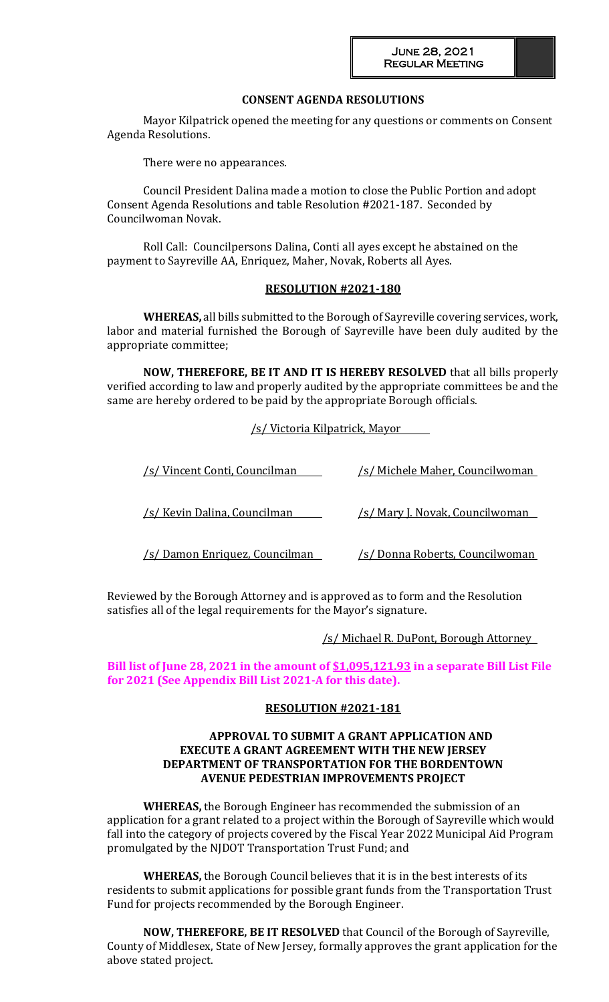### **CONSENT AGENDA RESOLUTIONS**

Mayor Kilpatrick opened the meeting for any questions or comments on Consent Agenda Resolutions.

There were no appearances.

Council President Dalina made a motion to close the Public Portion and adopt Consent Agenda Resolutions and table Resolution #2021-187. Seconded by Councilwoman Novak.

Roll Call: Councilpersons Dalina, Conti all ayes except he abstained on the payment to Sayreville AA, Enriquez, Maher, Novak, Roberts all Ayes.

### **RESOLUTION #2021-180**

**WHEREAS,** all bills submitted to the Borough of Sayreville covering services, work, labor and material furnished the Borough of Sayreville have been duly audited by the appropriate committee;

**NOW, THEREFORE, BE IT AND IT IS HEREBY RESOLVED** that all bills properly verified according to law and properly audited by the appropriate committees be and the same are hereby ordered to be paid by the appropriate Borough officials.

/s/ Victoria Kilpatrick, Mayor

| /s/ Vincent Conti, Councilman          | /s/ Michele Maher, Councilwoman         |  |  |
|----------------------------------------|-----------------------------------------|--|--|
| /s/ Kevin Dalina, Councilman           | <u>/s/ Mary J. Novak, Councilwoman_</u> |  |  |
| <u>/s/ Damon Enriquez, Councilman_</u> | <u>/s/ Donna Roberts, Councilwoman</u>  |  |  |

Reviewed by the Borough Attorney and is approved as to form and the Resolution satisfies all of the legal requirements for the Mayor's signature.

/s/ Michael R. DuPont, Borough Attorney

## **Bill list of June 28, 2021 in the amount of \$1,095,121.93 in a separate Bill List File for 2021 (See Appendix Bill List 2021-A for this date).**

#### **RESOLUTION #2021-181**

#### **APPROVAL TO SUBMIT A GRANT APPLICATION AND EXECUTE A GRANT AGREEMENT WITH THE NEW JERSEY DEPARTMENT OF TRANSPORTATION FOR THE BORDENTOWN AVENUE PEDESTRIAN IMPROVEMENTS PROJECT**

**WHEREAS,** the Borough Engineer has recommended the submission of an application for a grant related to a project within the Borough of Sayreville which would fall into the category of projects covered by the Fiscal Year 2022 Municipal Aid Program promulgated by the NJDOT Transportation Trust Fund; and

**WHEREAS,** the Borough Council believes that it is in the best interests of its residents to submit applications for possible grant funds from the Transportation Trust Fund for projects recommended by the Borough Engineer.

**NOW, THEREFORE, BE IT RESOLVED** that Council of the Borough of Sayreville, County of Middlesex, State of New Jersey, formally approves the grant application for the above stated project.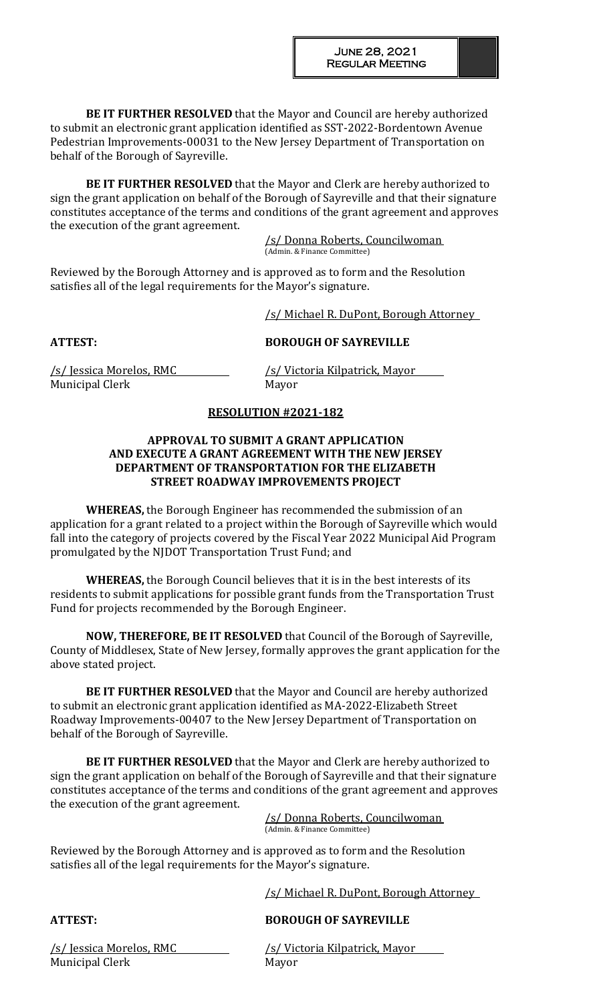**BE IT FURTHER RESOLVED** that the Mayor and Council are hereby authorized to submit an electronic grant application identified as SST-2022-Bordentown Avenue Pedestrian Improvements-00031 to the New Jersey Department of Transportation on behalf of the Borough of Sayreville.

**BE IT FURTHER RESOLVED** that the Mayor and Clerk are hereby authorized to sign the grant application on behalf of the Borough of Sayreville and that their signature constitutes acceptance of the terms and conditions of the grant agreement and approves the execution of the grant agreement.

> /s/ Donna Roberts, Councilwoman (Admin. & Finance Committee)

Reviewed by the Borough Attorney and is approved as to form and the Resolution satisfies all of the legal requirements for the Mayor's signature.

/s/ Michael R. DuPont, Borough Attorney

# **ATTEST: BOROUGH OF SAYREVILLE**

Municipal Clerk Mayor

/s/ Jessica Morelos, RMC /s/ Victoria Kilpatrick, Mayor

# **RESOLUTION #2021-182**

## **APPROVAL TO SUBMIT A GRANT APPLICATION AND EXECUTE A GRANT AGREEMENT WITH THE NEW JERSEY DEPARTMENT OF TRANSPORTATION FOR THE ELIZABETH STREET ROADWAY IMPROVEMENTS PROJECT**

**WHEREAS,** the Borough Engineer has recommended the submission of an application for a grant related to a project within the Borough of Sayreville which would fall into the category of projects covered by the Fiscal Year 2022 Municipal Aid Program promulgated by the NJDOT Transportation Trust Fund; and

**WHEREAS,** the Borough Council believes that it is in the best interests of its residents to submit applications for possible grant funds from the Transportation Trust Fund for projects recommended by the Borough Engineer.

**NOW, THEREFORE, BE IT RESOLVED** that Council of the Borough of Sayreville, County of Middlesex, State of New Jersey, formally approves the grant application for the above stated project.

**BE IT FURTHER RESOLVED** that the Mayor and Council are hereby authorized to submit an electronic grant application identified as MA-2022-Elizabeth Street Roadway Improvements-00407 to the New Jersey Department of Transportation on behalf of the Borough of Sayreville.

**BE IT FURTHER RESOLVED** that the Mayor and Clerk are hereby authorized to sign the grant application on behalf of the Borough of Sayreville and that their signature constitutes acceptance of the terms and conditions of the grant agreement and approves the execution of the grant agreement.

/s/ Donna Roberts, Councilwoman (Admin. & Finance Committee)

Reviewed by the Borough Attorney and is approved as to form and the Resolution satisfies all of the legal requirements for the Mayor's signature.

/s/ Michael R. DuPont, Borough Attorney

# **ATTEST: BOROUGH OF SAYREVILLE**

Municipal Clerk Mayor

/s/ Jessica Morelos, RMC /s/ Victoria Kilpatrick, Mayor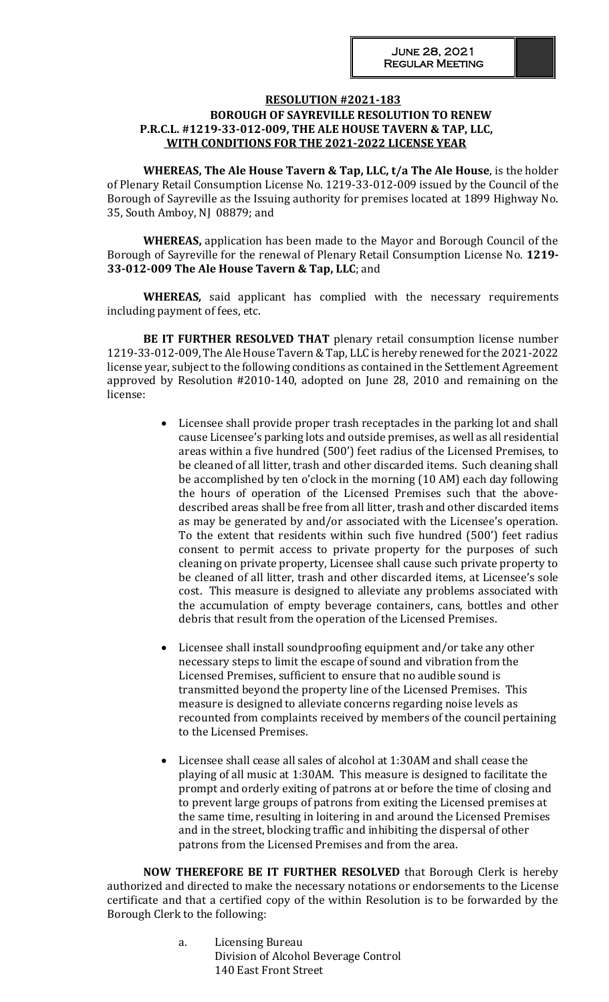## **RESOLUTION #2021-183 BOROUGH OF SAYREVILLE RESOLUTION TO RENEW P.R.C.L. #1219-33-012-009, THE ALE HOUSE TAVERN & TAP, LLC, WITH CONDITIONS FOR THE 2021-2022 LICENSE YEAR**

**WHEREAS, The Ale House Tavern & Tap, LLC, t/a The Ale House**, is the holder of Plenary Retail Consumption License No. 1219-33-012-009 issued by the Council of the Borough of Sayreville as the Issuing authority for premises located at 1899 Highway No. 35, South Amboy, NJ 08879; and

**WHEREAS,** application has been made to the Mayor and Borough Council of the Borough of Sayreville for the renewal of Plenary Retail Consumption License No. **1219- 33-012-009 The Ale House Tavern & Tap, LLC**; and

**WHEREAS***,* said applicant has complied with the necessary requirements including payment of fees, etc.

**BE IT FURTHER RESOLVED THAT** plenary retail consumption license number 1219-33-012-009, The Ale House Tavern & Tap, LLC is hereby renewed for the 2021-2022 license year, subject to the following conditions as contained in the Settlement Agreement approved by Resolution #2010-140, adopted on June 28, 2010 and remaining on the license:

- Licensee shall provide proper trash receptacles in the parking lot and shall cause Licensee's parking lots and outside premises, as well as all residential areas within a five hundred (500') feet radius of the Licensed Premises, to be cleaned of all litter, trash and other discarded items. Such cleaning shall be accomplished by ten o'clock in the morning (10 AM) each day following the hours of operation of the Licensed Premises such that the abovedescribed areas shall be free from all litter, trash and other discarded items as may be generated by and/or associated with the Licensee's operation. To the extent that residents within such five hundred (500') feet radius consent to permit access to private property for the purposes of such cleaning on private property, Licensee shall cause such private property to be cleaned of all litter, trash and other discarded items, at Licensee's sole cost. This measure is designed to alleviate any problems associated with the accumulation of empty beverage containers, cans, bottles and other debris that result from the operation of the Licensed Premises.
- Licensee shall install soundproofing equipment and/or take any other necessary steps to limit the escape of sound and vibration from the Licensed Premises, sufficient to ensure that no audible sound is transmitted beyond the property line of the Licensed Premises. This measure is designed to alleviate concerns regarding noise levels as recounted from complaints received by members of the council pertaining to the Licensed Premises.
- Licensee shall cease all sales of alcohol at 1:30AM and shall cease the playing of all music at 1:30AM. This measure is designed to facilitate the prompt and orderly exiting of patrons at or before the time of closing and to prevent large groups of patrons from exiting the Licensed premises at the same time, resulting in loitering in and around the Licensed Premises and in the street, blocking traffic and inhibiting the dispersal of other patrons from the Licensed Premises and from the area.

**NOW THEREFORE BE IT FURTHER RESOLVED** that Borough Clerk is hereby authorized and directed to make the necessary notations or endorsements to the License certificate and that a certified copy of the within Resolution is to be forwarded by the Borough Clerk to the following:

> a. Licensing Bureau Division of Alcohol Beverage Control 140 East Front Street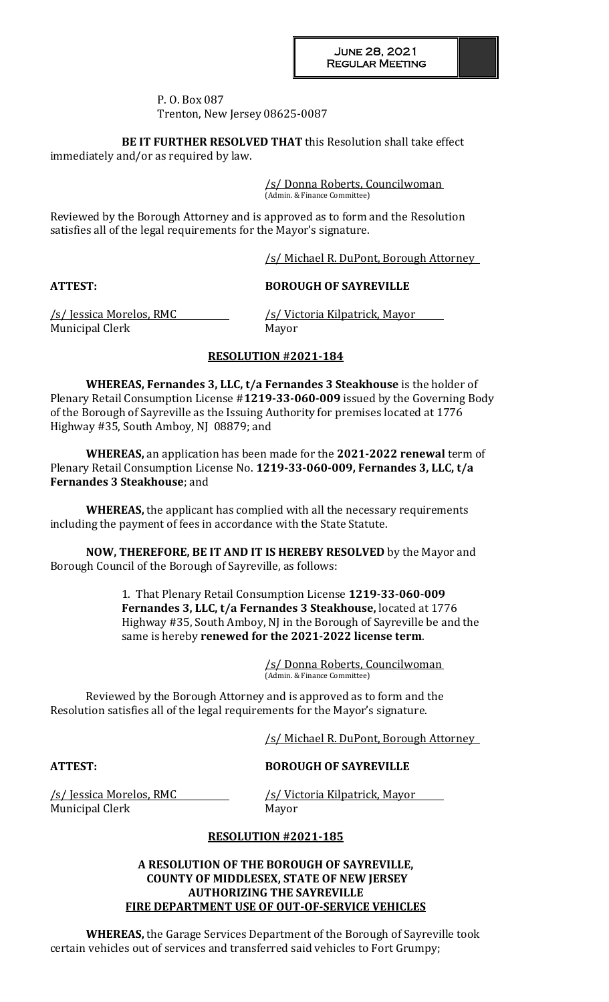#### P. O. Box 087 Trenton, New Jersey 08625-0087

**BE IT FURTHER RESOLVED THAT** this Resolution shall take effect immediately and/or as required by law.

> /s/ Donna Roberts, Councilwoman (Admin. & Finance Committee)

Reviewed by the Borough Attorney and is approved as to form and the Resolution satisfies all of the legal requirements for the Mayor's signature.

/s/ Michael R. DuPont, Borough Attorney

# **ATTEST: BOROUGH OF SAYREVILLE**

Municipal Clerk Mayor

/s/ Jessica Morelos, RMC /s/ Victoria Kilpatrick, Mayor

## **RESOLUTION #2021-184**

**WHEREAS, Fernandes 3, LLC, t/a Fernandes 3 Steakhouse** is the holder of Plenary Retail Consumption License #**1219-33-060-009** issued by the Governing Body of the Borough of Sayreville as the Issuing Authority for premises located at 1776 Highway #35, South Amboy, NJ 08879; and

**WHEREAS,** an application has been made for the **2021-2022 renewal** term of Plenary Retail Consumption License No. **1219-33-060-009, Fernandes 3, LLC, t/a Fernandes 3 Steakhouse**; and

**WHEREAS,** the applicant has complied with all the necessary requirements including the payment of fees in accordance with the State Statute.

**NOW, THEREFORE, BE IT AND IT IS HEREBY RESOLVED** by the Mayor and Borough Council of the Borough of Sayreville, as follows:

> 1. That Plenary Retail Consumption License **1219-33-060-009 Fernandes 3, LLC, t/a Fernandes 3 Steakhouse,** located at 1776 Highway #35, South Amboy, NJ in the Borough of Sayreville be and the same is hereby **renewed for the 2021-2022 license term**.

> > /s/ Donna Roberts, Councilwoman (Admin. & Finance Committee)

Reviewed by the Borough Attorney and is approved as to form and the Resolution satisfies all of the legal requirements for the Mayor's signature.

/s/ Michael R. DuPont, Borough Attorney

# **ATTEST: BOROUGH OF SAYREVILLE**

Municipal Clerk Mayor

/s/ Jessica Morelos, RMC /s/ Victoria Kilpatrick, Mayor

# **RESOLUTION #2021-185**

## **A RESOLUTION OF THE BOROUGH OF SAYREVILLE, COUNTY OF MIDDLESEX, STATE OF NEW JERSEY AUTHORIZING THE SAYREVILLE FIRE DEPARTMENT USE OF OUT-OF-SERVICE VEHICLES**

**WHEREAS,** the Garage Services Department of the Borough of Sayreville took certain vehicles out of services and transferred said vehicles to Fort Grumpy;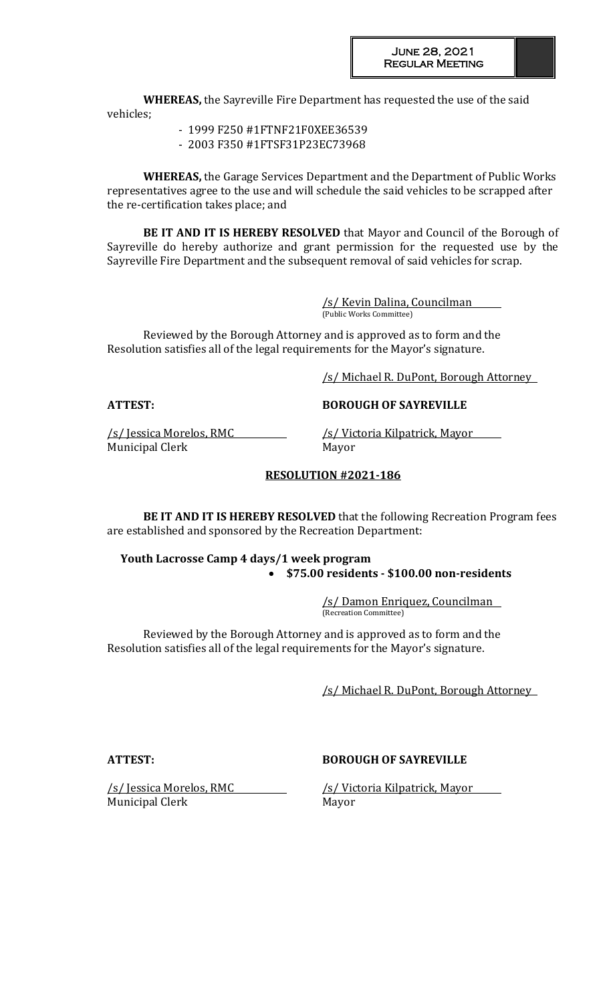**WHEREAS,** the Sayreville Fire Department has requested the use of the said vehicles;

- 1999 F250 #1FTNF21F0XEE36539
- 2003 F350 #1FTSF31P23EC73968

**WHEREAS,** the Garage Services Department and the Department of Public Works representatives agree to the use and will schedule the said vehicles to be scrapped after the re-certification takes place; and

**BE IT AND IT IS HEREBY RESOLVED** that Mayor and Council of the Borough of Sayreville do hereby authorize and grant permission for the requested use by the Sayreville Fire Department and the subsequent removal of said vehicles for scrap.

> /s/ Kevin Dalina, Councilman (Public Works Committee)

Reviewed by the Borough Attorney and is approved as to form and the Resolution satisfies all of the legal requirements for the Mayor's signature.

/s/ Michael R. DuPont, Borough Attorney

**ATTEST: BOROUGH OF SAYREVILLE**

Municipal Clerk Mayor

/s/ Jessica Morelos, RMC /s/ Victoria Kilpatrick, Mayor

## **RESOLUTION #2021-186**

**BE IT AND IT IS HEREBY RESOLVED** that the following Recreation Program fees are established and sponsored by the Recreation Department:

 **Youth Lacrosse Camp 4 days/1 week program \$75.00 residents - \$100.00 non-residents**

> /s/ Damon Enriquez, Councilman (Recreation Committee)

Reviewed by the Borough Attorney and is approved as to form and the Resolution satisfies all of the legal requirements for the Mayor's signature.

/s/ Michael R. DuPont, Borough Attorney

### **ATTEST: BOROUGH OF SAYREVILLE**

/s/ Jessica Morelos, RMC /s/ Victoria Kilpatrick, Mayor Municipal Clerk Mayor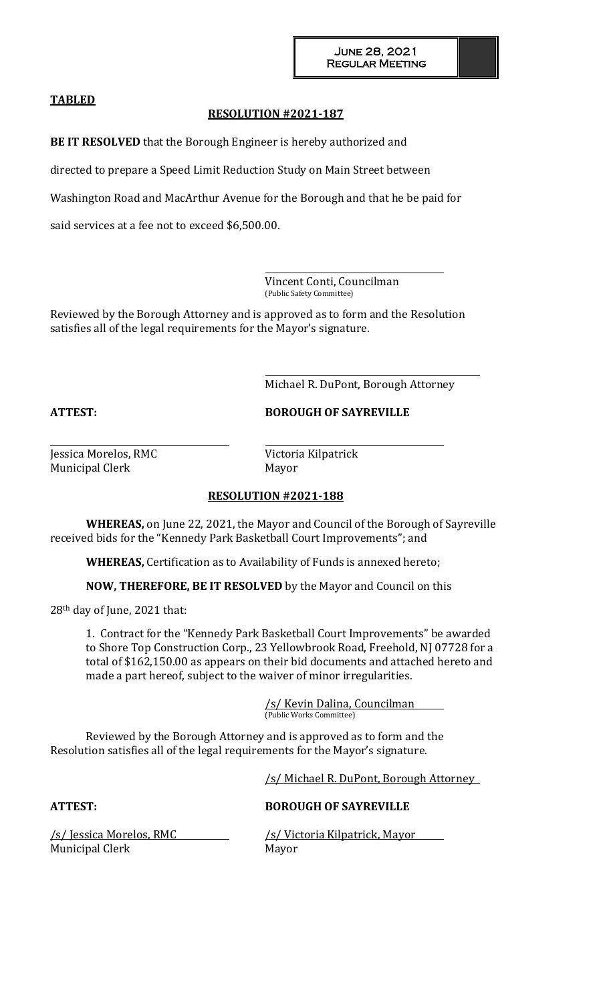## **TABLED**

## **RESOLUTION #2021-187**

**BE IT RESOLVED** that the Borough Engineer is hereby authorized and

directed to prepare a Speed Limit Reduction Study on Main Street between

Washington Road and MacArthur Avenue for the Borough and that he be paid for

said services at a fee not to exceed \$6,500.00.

Vincent Conti, Councilman (Public Safety Committee)

Reviewed by the Borough Attorney and is approved as to form and the Resolution satisfies all of the legal requirements for the Mayor's signature.

Michael R. DuPont, Borough Attorney

**ATTEST: BOROUGH OF SAYREVILLE**

Municipal Clerk Mayor

Jessica Morelos, RMC Victoria Kilpatrick

## **RESOLUTION #2021-188**

**WHEREAS,** on June 22, 2021, the Mayor and Council of the Borough of Sayreville received bids for the "Kennedy Park Basketball Court Improvements"; and

**WHEREAS,** Certification as to Availability of Funds is annexed hereto;

**NOW, THEREFORE, BE IT RESOLVED** by the Mayor and Council on this

28th day of June, 2021 that:

1. Contract for the "Kennedy Park Basketball Court Improvements" be awarded to Shore Top Construction Corp., 23 Yellowbrook Road, Freehold, NJ 07728 for a total of \$162,150.00 as appears on their bid documents and attached hereto and made a part hereof, subject to the waiver of minor irregularities.

> /s/ Kevin Dalina, Councilman (Public Works Committee)

Reviewed by the Borough Attorney and is approved as to form and the Resolution satisfies all of the legal requirements for the Mayor's signature.

/s/ Michael R. DuPont, Borough Attorney

### **ATTEST: BOROUGH OF SAYREVILLE**

Municipal Clerk Mayor

/s/ Jessica Morelos, RMC /s/ Victoria Kilpatrick, Mayor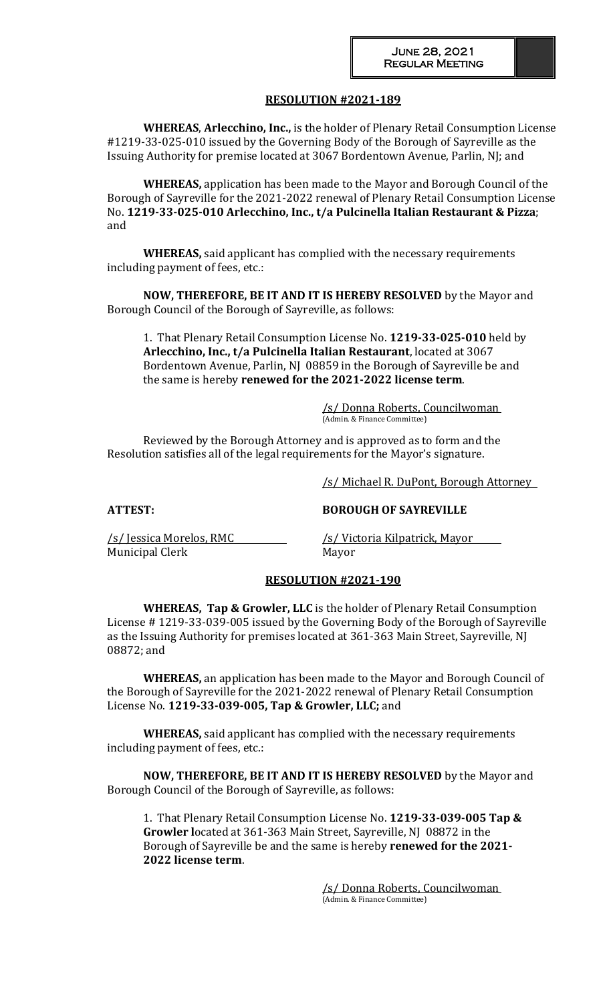## **RESOLUTION #2021-189**

**WHEREAS**, **Arlecchino, Inc.,** is the holder of Plenary Retail Consumption License #1219-33-025-010 issued by the Governing Body of the Borough of Sayreville as the Issuing Authority for premise located at 3067 Bordentown Avenue, Parlin, NJ; and

**WHEREAS,** application has been made to the Mayor and Borough Council of the Borough of Sayreville for the 2021-2022 renewal of Plenary Retail Consumption License No. **1219-33-025-010 Arlecchino, Inc., t/a Pulcinella Italian Restaurant & Pizza**; and

**WHEREAS,** said applicant has complied with the necessary requirements including payment of fees, etc.:

**NOW, THEREFORE, BE IT AND IT IS HEREBY RESOLVED** by the Mayor and Borough Council of the Borough of Sayreville, as follows:

1. That Plenary Retail Consumption License No. **1219-33-025-010** held by  **Arlecchino, Inc., t/a Pulcinella Italian Restaurant**, located at 3067 Bordentown Avenue, Parlin, NJ 08859 in the Borough of Sayreville be and the same is hereby **renewed for the 2021-2022 license term**.

> /s/ Donna Roberts, Councilwoman (Admin. & Finance Committee)

Reviewed by the Borough Attorney and is approved as to form and the Resolution satisfies all of the legal requirements for the Mayor's signature.

/s/ Michael R. DuPont, Borough Attorney

**ATTEST: BOROUGH OF SAYREVILLE**

Municipal Clerk Mayor

/s/ Jessica Morelos, RMC /s/ Victoria Kilpatrick, Mayor

### **RESOLUTION #2021-190**

**WHEREAS, Tap & Growler, LLC** is the holder of Plenary Retail Consumption License # 1219-33-039-005 issued by the Governing Body of the Borough of Sayreville as the Issuing Authority for premises located at 361-363 Main Street, Sayreville, NJ 08872; and

**WHEREAS,** an application has been made to the Mayor and Borough Council of the Borough of Sayreville for the 2021-2022 renewal of Plenary Retail Consumption License No. **1219-33-039-005, Tap & Growler, LLC;** and

**WHEREAS,** said applicant has complied with the necessary requirements including payment of fees, etc.:

**NOW, THEREFORE, BE IT AND IT IS HEREBY RESOLVED** by the Mayor and Borough Council of the Borough of Sayreville, as follows:

1. That Plenary Retail Consumption License No. **1219-33-039-005 Tap & Growler l**ocated at 361-363 Main Street, Sayreville, NJ 08872 in the Borough of Sayreville be and the same is hereby **renewed for the 2021- 2022 license term**.

> /s/ Donna Roberts, Councilwoman (Admin. & Finance Committee)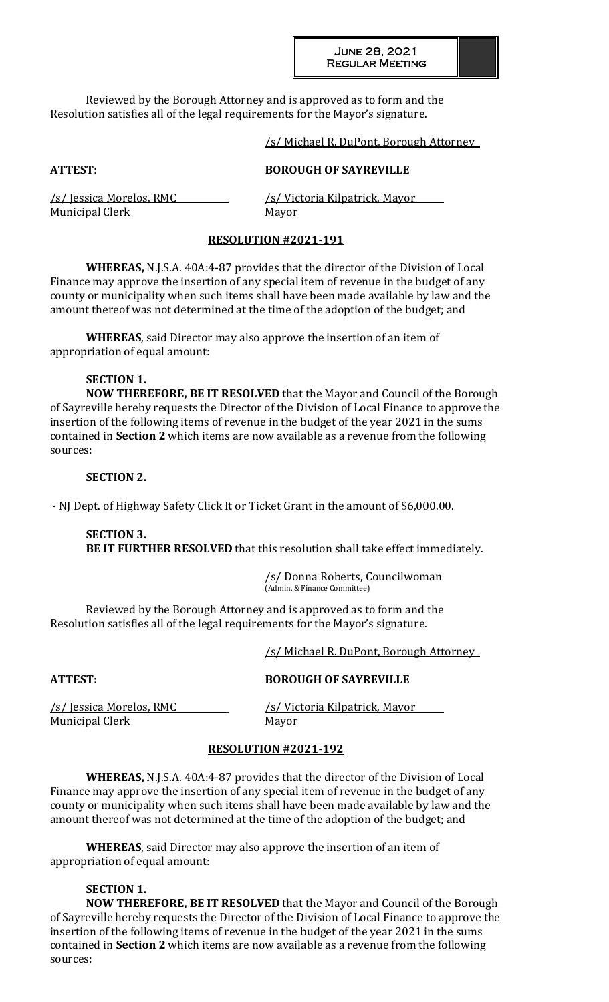Reviewed by the Borough Attorney and is approved as to form and the Resolution satisfies all of the legal requirements for the Mayor's signature.

### /s/ Michael R. DuPont, Borough Attorney

## **ATTEST: BOROUGH OF SAYREVILLE**

Municipal Clerk Mayor

/s/ Jessica Morelos, RMC /s/ Victoria Kilpatrick, Mayor

# **RESOLUTION #2021-191**

**WHEREAS,** N.J.S.A. 40A:4-87 provides that the director of the Division of Local Finance may approve the insertion of any special item of revenue in the budget of any county or municipality when such items shall have been made available by law and the amount thereof was not determined at the time of the adoption of the budget; and

**WHEREAS**, said Director may also approve the insertion of an item of appropriation of equal amount:

# **SECTION 1.**

**NOW THEREFORE, BE IT RESOLVED** that the Mayor and Council of the Borough of Sayreville hereby requests the Director of the Division of Local Finance to approve the insertion of the following items of revenue in the budget of the year 2021 in the sums contained in **Section 2** which items are now available as a revenue from the following sources:

## **SECTION 2.**

- NJ Dept. of Highway Safety Click It or Ticket Grant in the amount of \$6,000.00.

**SECTION 3. BE IT FURTHER RESOLVED** that this resolution shall take effect immediately.

> /s/ Donna Roberts, Councilwoman (Admin. & Finance Committee)

Reviewed by the Borough Attorney and is approved as to form and the Resolution satisfies all of the legal requirements for the Mayor's signature.

/s/ Michael R. DuPont, Borough Attorney

# **ATTEST: BOROUGH OF SAYREVILLE**

Municipal Clerk Mayor

/s/ Jessica Morelos, RMC /s/ Victoria Kilpatrick, Mayor

# **RESOLUTION #2021-192**

**WHEREAS,** N.J.S.A. 40A:4-87 provides that the director of the Division of Local Finance may approve the insertion of any special item of revenue in the budget of any county or municipality when such items shall have been made available by law and the amount thereof was not determined at the time of the adoption of the budget; and

**WHEREAS**, said Director may also approve the insertion of an item of appropriation of equal amount:

# **SECTION 1.**

**NOW THEREFORE, BE IT RESOLVED** that the Mayor and Council of the Borough of Sayreville hereby requests the Director of the Division of Local Finance to approve the insertion of the following items of revenue in the budget of the year 2021 in the sums contained in **Section 2** which items are now available as a revenue from the following sources: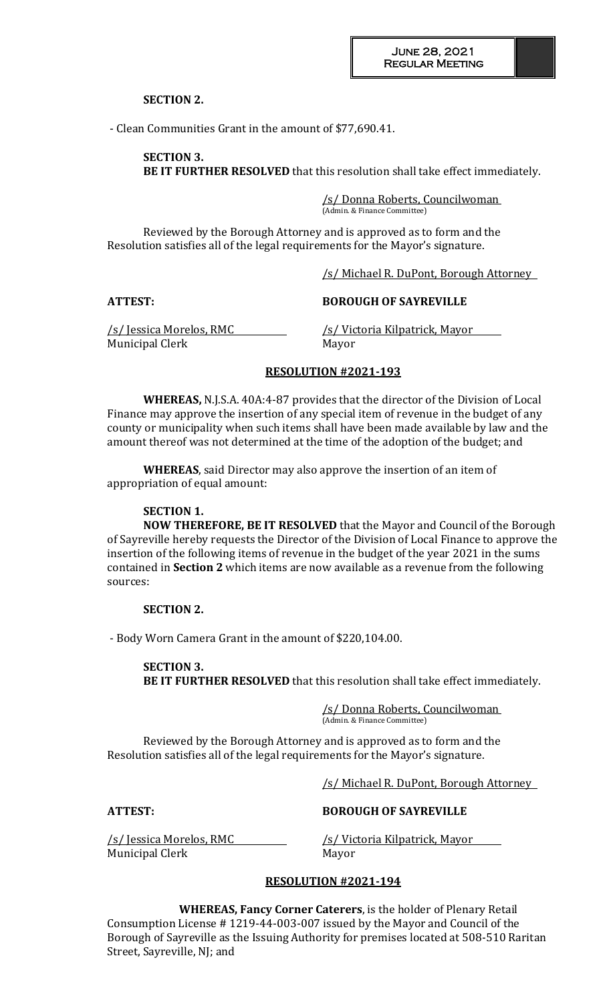## **SECTION 2.**

- Clean Communities Grant in the amount of \$77,690.41.

**SECTION 3. BE IT FURTHER RESOLVED** that this resolution shall take effect immediately.

> /s/ Donna Roberts, Councilwoman (Admin. & Finance Committee)

Reviewed by the Borough Attorney and is approved as to form and the Resolution satisfies all of the legal requirements for the Mayor's signature.

/s/ Michael R. DuPont, Borough Attorney

### **ATTEST: BOROUGH OF SAYREVILLE**

Municipal Clerk Mayor

/s/ Jessica Morelos, RMC /s/ Victoria Kilpatrick, Mayor

### **RESOLUTION #2021-193**

**WHEREAS,** N.J.S.A. 40A:4-87 provides that the director of the Division of Local Finance may approve the insertion of any special item of revenue in the budget of any county or municipality when such items shall have been made available by law and the amount thereof was not determined at the time of the adoption of the budget; and

**WHEREAS**, said Director may also approve the insertion of an item of appropriation of equal amount:

### **SECTION 1.**

**NOW THEREFORE, BE IT RESOLVED** that the Mayor and Council of the Borough of Sayreville hereby requests the Director of the Division of Local Finance to approve the insertion of the following items of revenue in the budget of the year 2021 in the sums contained in **Section 2** which items are now available as a revenue from the following sources:

#### **SECTION 2.**

- Body Worn Camera Grant in the amount of \$220,104.00.

**SECTION 3. BE IT FURTHER RESOLVED** that this resolution shall take effect immediately.

> /s/ Donna Roberts, Councilwoman (Admin. & Finance Committee)

Reviewed by the Borough Attorney and is approved as to form and the Resolution satisfies all of the legal requirements for the Mayor's signature.

/s/ Michael R. DuPont, Borough Attorney

#### **ATTEST: BOROUGH OF SAYREVILLE**

/s/ Jessica Morelos, RMC /s/ Victoria Kilpatrick, Mayor Municipal Clerk Mayor

### **RESOLUTION #2021-194**

**WHEREAS, Fancy Corner Caterers**, is the holder of Plenary Retail Consumption License # 1219-44-003-007 issued by the Mayor and Council of the Borough of Sayreville as the Issuing Authority for premises located at 508-510 Raritan Street, Sayreville, NJ; and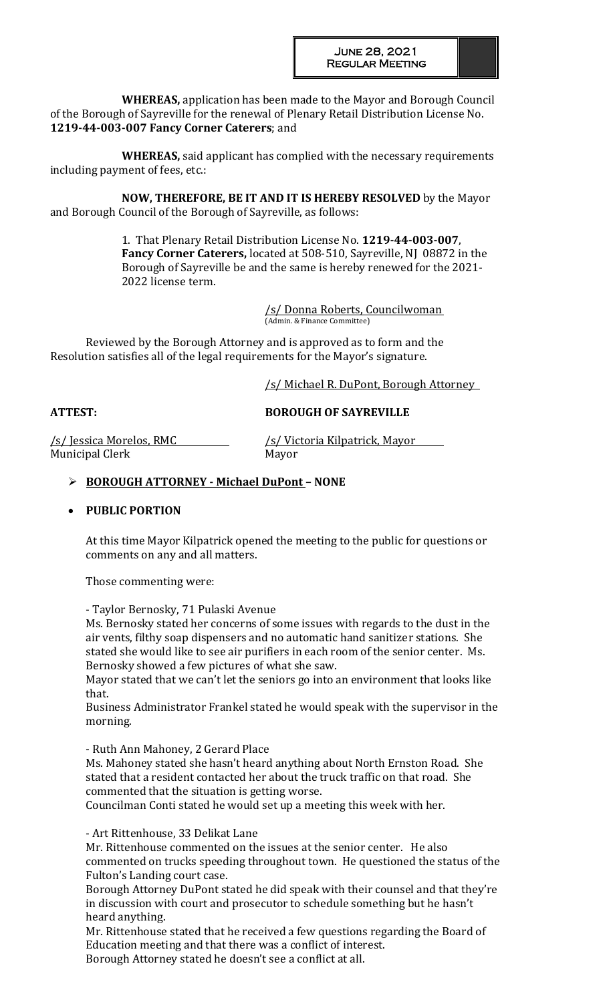**WHEREAS,** application has been made to the Mayor and Borough Council of the Borough of Sayreville for the renewal of Plenary Retail Distribution License No. **1219-44-003-007 Fancy Corner Caterers**; and

**WHEREAS,** said applicant has complied with the necessary requirements including payment of fees, etc.:

**NOW, THEREFORE, BE IT AND IT IS HEREBY RESOLVED** by the Mayor and Borough Council of the Borough of Sayreville, as follows:

> 1. That Plenary Retail Distribution License No. **1219-44-003-007**, **Fancy Corner Caterers,** located at 508-510, Sayreville, NJ 08872 in the Borough of Sayreville be and the same is hereby renewed for the 2021- 2022 license term.

> > /s/ Donna Roberts, Councilwoman (Admin. & Finance Committee)

Reviewed by the Borough Attorney and is approved as to form and the Resolution satisfies all of the legal requirements for the Mayor's signature.

/s/ Michael R. DuPont, Borough Attorney

**ATTEST: BOROUGH OF SAYREVILLE**

Municipal Clerk Mayor

/s/ Jessica Morelos, RMC /s/ Victoria Kilpatrick, Mayor

# **BOROUGH ATTORNEY - Michael DuPont – NONE**

# **PUBLIC PORTION**

At this time Mayor Kilpatrick opened the meeting to the public for questions or comments on any and all matters.

Those commenting were:

- Taylor Bernosky, 71 Pulaski Avenue

Ms. Bernosky stated her concerns of some issues with regards to the dust in the air vents, filthy soap dispensers and no automatic hand sanitizer stations. She stated she would like to see air purifiers in each room of the senior center. Ms. Bernosky showed a few pictures of what she saw.

Mayor stated that we can't let the seniors go into an environment that looks like that.

Business Administrator Frankel stated he would speak with the supervisor in the morning.

- Ruth Ann Mahoney, 2 Gerard Place

Ms. Mahoney stated she hasn't heard anything about North Ernston Road. She stated that a resident contacted her about the truck traffic on that road. She commented that the situation is getting worse.

Councilman Conti stated he would set up a meeting this week with her.

- Art Rittenhouse, 33 Delikat Lane

Mr. Rittenhouse commented on the issues at the senior center. He also commented on trucks speeding throughout town. He questioned the status of the Fulton's Landing court case.

Borough Attorney DuPont stated he did speak with their counsel and that they're in discussion with court and prosecutor to schedule something but he hasn't heard anything.

Mr. Rittenhouse stated that he received a few questions regarding the Board of Education meeting and that there was a conflict of interest.

Borough Attorney stated he doesn't see a conflict at all.